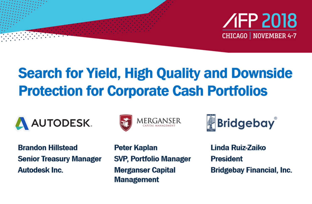

# **Search for Yield, High Quality and Downside Protection for Corporate Cash Portfolios**



**Brandon Hillstead Senior Treasury Manager Autodesk Inc.** 





**Peter Kaplan SVP, Portfolio Manager Merganser Capital Management** 

Linda Ruiz-Zaiko **President Bridgebay Financial, Inc.**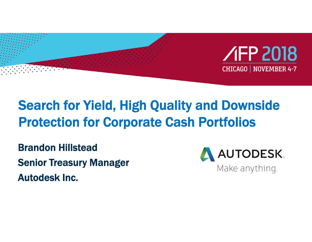

# Search for Yield, High Quality and Downside Protection for Corporate Cash Portfolios

Brandon HillsteadSenior Treasury Manager Autodesk Inc.

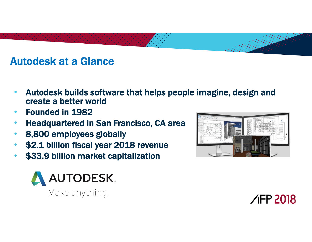# Autodesk at a Glance

- • Autodesk builds software that helps people imagine, design and create a better world
- •Founded in 1982
- •Headquartered in San Francisco, CA area
- •8,800 employees globally
- •\$2.1 billion fiscal year 2018 revenue
- •\$33.9 billion market capitalization





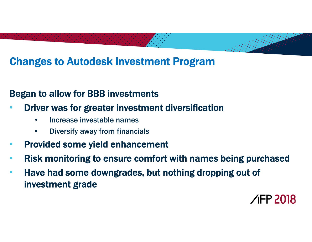# Changes to Autodesk Investment Program

## Began to allow for BBB investments

#### •Driver was for greater investment diversification

- •Increase investable names
- $\bullet$ Diversify away from financials
- •Provided some yield enhancement
- •Risk monitoring to ensure comfort with names being purchased
- • Have had some downgrades, but nothing dropping out of investment grade

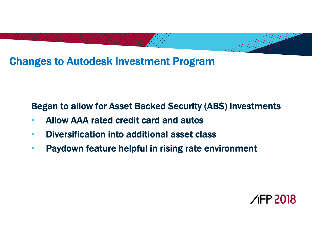# Changes to Autodesk Investment Program

## Began to allow for Asset Backed Security (ABS) investments

- $\bullet$ Allow AAA rated credit card and autos
- $\bullet$ Diversification into additional asset class
- •Paydown feature helpful in rising rate environment

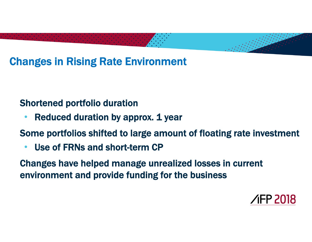# Changes in Rising Rate Environment

## Shortened portfolio duration

•Reduced duration by approx. 1 year

Some portfolios shifted to large amount of floating rate investment

•Use of FRNs and short-term CP

Changes have helped manage unrealized losses in current environment and provide funding for the business

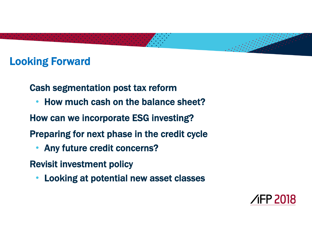# Looking Forward

# Cash segmentation post tax reform

- How much cash on the balance sheet?
- How can we incorporate ESG investing?

Preparing for next phase in the credit cycle

• Any future credit concerns?

Revisit investment policy

•Looking at potential new asset classes

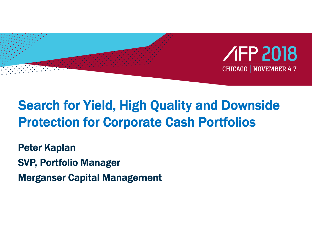

# Search for Yield, High Quality and Downside Protection for Corporate Cash Portfolios

Peter Kaplan

SVP, Portfolio Manager

Merganser Capital Management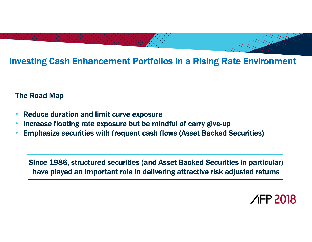#### Investing Cash Enhancement Portfolios in a Rising Rate Environment

#### The Road Map

- •Reduce duration and limit curve exposure
- •Increase floating rate exposure but be mindful of carry give-up
- •Emphasize securities with frequent cash flows (Asset Backed Securities)

Since 1986, structured securities (and Asset Backed Securities in particular) have played an important role in delivering attractive risk adjusted returns

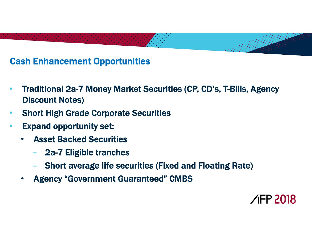### Cash Enhancement Opportunities

- • Traditional 2a-7 Money Market Securities (CP, CD's, T-Bills, Agency Discount Notes)
- •Short High Grade Corporate Securities
- $\bullet$  Expand opportunity set:
	- • Asset Backed Securities
		- 2a-7 Eligible tranches
		- Short average life securities (Fixed and Floating Rate)
	- •Agency "Government Guaranteed" CMBS

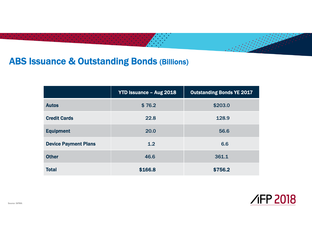### ABS Issuance & Outstanding Bonds (Billions)

|                             | <b>YTD Issuance - Aug 2018</b> | <b>Outstanding Bonds YE 2017</b> |
|-----------------------------|--------------------------------|----------------------------------|
| <b>Autos</b>                | \$76.2                         | \$203.0                          |
| <b>Credit Cards</b>         | 22.8                           | 128.9                            |
| <b>Equipment</b>            | 20.0                           | 56.6                             |
| <b>Device Payment Plans</b> | 1.2                            | 6.6                              |
| <b>Other</b>                | 46.6                           | 361.1                            |
| <b>Total</b>                | \$166.8                        | \$756.2                          |

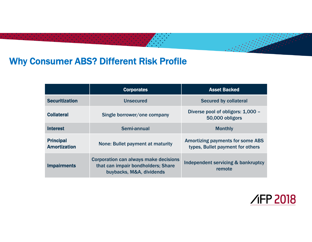### Why Consumer ABS? Different Risk Profile

|                                         | <b>Corporates</b>                                                                                       | <b>Asset Backed</b>                                                         |
|-----------------------------------------|---------------------------------------------------------------------------------------------------------|-----------------------------------------------------------------------------|
| <b>Securitization</b>                   | <b>Unsecured</b>                                                                                        | <b>Secured by collateral</b>                                                |
| <b>Collateral</b>                       | Single borrower/one company                                                                             | Diverse pool of obligors: 1,000 -<br>50,000 obligors                        |
| <b>Interest</b>                         | Semi-annual                                                                                             | <b>Monthly</b>                                                              |
| <b>Principal</b><br><b>Amortization</b> | None: Bullet payment at maturity                                                                        | <b>Amortizing payments for some ABS</b><br>types, Bullet payment for others |
| <b>Impairments</b>                      | Corporation can always make decisions<br>that can impair bondholders; Share<br>buybacks, M&A, dividends | Independent servicing & bankruptcy<br>remote                                |

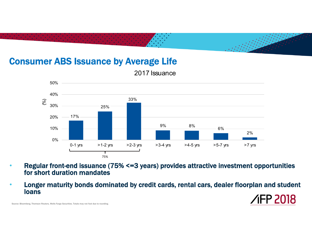### Consumer ABS Issuance by Average Life

2017 Issuance



- • Regular front-end issuance (75% <=3 years) provides attractive investment opportunities for short duration mandates
- Longer maturity bonds dominated by credit cards, rental cars, dealer floorplan and student •loans118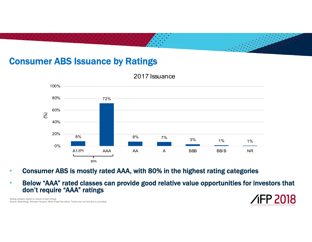### Consumer ABS Issuance by Ratings

2017 Issuance



- •Consumer ABS is mostly rated AAA, with 80% in the highest rating categories
- • Below "AAA" rated classes can provide good relative value opportunities for investors that don't require "AAA" ratings

2018

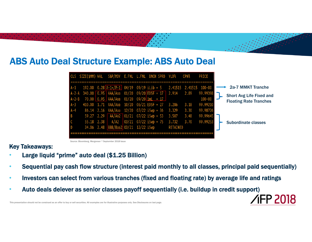#### ABS Auto Deal Structure Example: ABS Auto Deal



Source: Bloomberg, Merganser \* September 2018 Issue

#### Key Takeaways:

- •Large liquid "prime" auto deal (\$1.25 Billion)
- •Sequential pay cash flow structure (interest paid monthly to all classes, principal paid sequentially)
- •Investors can select from various tranches (fixed and floating rate) by average life and ratings
- •Auto deals delever as senior classes payoff sequentially (i.e. buildup in credit support)

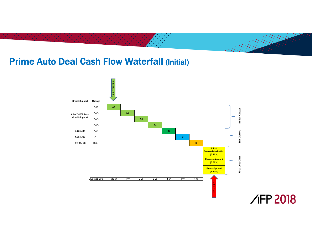#### **Prime Auto Deal Cash Flow Waterfall (Initial)**

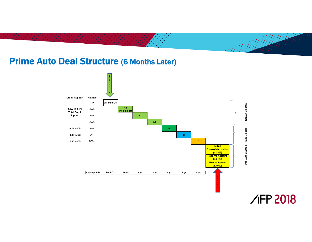#### Prime Auto Deal Structure (6 Months Later)



**/IFP 2018**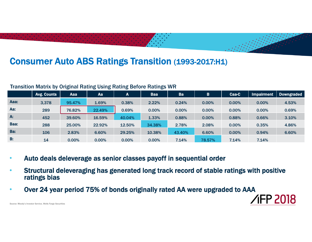### Consumer Auto ABS Ratings Transition (1993-2017:H1)

#### Transition Matrix by Original Rating Using Rating Before Ratings WR

|      | Avg. Counts | Aaa    | Aa     | Α      | <b>Baa</b> | <b>Ba</b> | в      | Caa-C | <b>Impairment</b> | <b>Downgraded</b> |
|------|-------------|--------|--------|--------|------------|-----------|--------|-------|-------------------|-------------------|
| Aaa: | 3,378       | 95.47% | 1.69%  | 0.38%  | 2.22%      | 0.24%     | 0.00%  | 0.00% | 0.00%             | 4.53%             |
| Aa:  | 289         | 76.82% | 22.49% | 0.69%  | 0.00%      | 0.00%     | 0.00%  | 0.00% | 0.00%             | 0.69%             |
| A:   | 452         | 39.60% | 16.59% | 40.04% | 1.33%      | 0.88%     | 0.00%  | 0.88% | 0.66%             | 3.10%             |
| Baa: | 288         | 25.00% | 22.92% | 12.50% | 34.38%     | 2.78%     | 2.08%  | 0.00% | 0.35%             | 4.86%             |
| Ba:  | 106         | 2.83%  | 6.60%  | 29.25% | 10.38%     | 43.40%    | 6.60%  | 0.00% | 0.94%             | 6.60%             |
| B:   | 14          | 0.00%  | 0.00%  | 0.00%  | 0.00%      | 7.14%     | 78.57% | 7.14% | 7.14%             |                   |

- •Auto deals deleverage as senior classes payoff in sequential order
- • Structural deleveraging has generated long track record of stable ratings with positive ratings bias
- •Over 24 year period 75% of bonds originally rated AA were upgraded to AAA

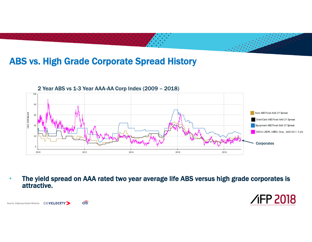### ABS vs. High Grade Corporate Spread History

2 Year ABS vs 1-3 Year AAA-AA Corp Index (2009 – 2018)



• The yield spread on AAA rated two year average life ABS versus high grade corporates is attractive.



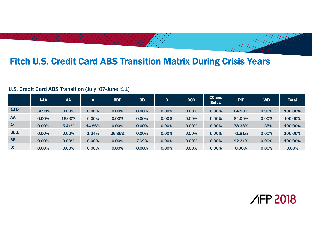#### Fitch U.S. Credit Card ABS Transition Matrix During Crisis Years

#### U.S. Credit Card ABS Transition (July '07-June '11)

|             | <b>AAA</b> | AA     | A        | <b>BBB</b> | <b>BB</b> | B.    | <b>CCC</b> | <b>CC and</b><br><b>Below</b> | <b>PIF</b> | <b>WD</b> | <b>Total</b> |
|-------------|------------|--------|----------|------------|-----------|-------|------------|-------------------------------|------------|-----------|--------------|
| AAA:        | 34.98%     | 0.00%  | 0.00%    | 0.00%      | 0.00%     | 0.00% | 0.00%      | 0.00%                         | 64.10%     | 0.96%     | 100.00%      |
| AA:         | 0.00%      | 16.00% | 0.00%    | 0.00%      | 0.00%     | 0.00% | 0.00%      | 0.00%                         | 84.00%     | 0.00%     | 100.00%      |
| A:          | 0.00%      | 5.41%  | 14.86%   | 0.00%      | 0.00%     | 0.00% | 0.00%      | 0.00%                         | 78.38%     | 1.35%     | 100.00%      |
| <b>BBB:</b> | 0.00%      | 0.00%  | 1.34%    | 26.85%     | 0.00%     | 0.00% | 0.00%      | 0.00%                         | 71.81%     | 0.00%     | 100.00%      |
| BB:         | 0.00%      | 0.00%  | 0.00%    | 0.00%      | 7.69%     | 0.00% | 0.00%      | 0.00%                         | 92.31%     | 0.00%     | 100.00%      |
| B:          | 0.00%      | 0.00%  | $0.00\%$ | 0.00%      | 0.00%     | 0.00% | 0.00%      | 0.00%                         | 0.00%      | 0.00%     | 0.00%        |

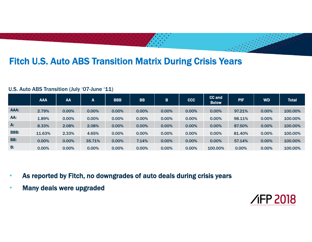### Fitch U.S. Auto ABS Transition Matrix During Crisis Years

#### U.S. Auto ABS Transition (July '07-June '11)

|             | <b>AAA</b> | AA    | A      | <b>BBB</b> | <b>BB</b> | B.    | <b>CCC</b> | <b>CC and</b><br><b>Below</b> | PIF    | <b>WD</b> | <b>Total</b> |
|-------------|------------|-------|--------|------------|-----------|-------|------------|-------------------------------|--------|-----------|--------------|
| AAA:        | 2.79%      | 0.00% | 0.00%  | 0.00%      | 0.00%     | 0.00% | 0.00%      | 0.00%                         | 97.21% | 0.00%     | 100.00%      |
| AA:         | 1.89%      | 0.00% | 0.00%  | 0.00%      | 0.00%     | 0.00% | 0.00%      | 0.00%                         | 98.11% | 0.00%     | 100.00%      |
| A:          | 8.33%      | 2.08% | 2.08%  | 0.00%      | 0.00%     | 0.00% | 0.00%      | 0.00%                         | 87.50% | 0.00%     | 100.00%      |
| <b>BBB:</b> | 11.63%     | 2.33% | 4.65%  | 0.00%      | 0.00%     | 0.00% | 0.00%      | 0.00%                         | 81.40% | 0.00%     | 100.00%      |
| BB:         | 0.00%      | 0.00% | 35.71% | 0.00%      | 7.14%     | 0.00% | 0.00%      | 0.00%                         | 57.14% | 0.00%     | 100.00%      |
| B:          | 0.00%      | 0.00% | 0.00%  | 0.00%      | 0.00%     | 0.00% | 0.00%      | 100.00%                       | 0.00%  | 0.00%     | 100.00%      |

- •As reported by Fitch, no downgrades of auto deals during crisis years
- •Many deals were upgraded

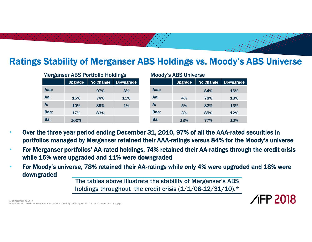### Ratings Stability of Merganser ABS Holdings vs. Moody's ABS Universe

| Merganser ABS Portfolio Holdings |                |           |                  |  |  |  |  |  |
|----------------------------------|----------------|-----------|------------------|--|--|--|--|--|
|                                  | <b>Upgrade</b> | No Change | <b>Downgrade</b> |  |  |  |  |  |
| Aaa:                             |                | 97%       | 3%               |  |  |  |  |  |
| Aa:                              | 15%            | 74%       | 11%              |  |  |  |  |  |
| A:                               | 10%            | 89%       | $1\%$            |  |  |  |  |  |
| Baa:                             | 17%            | 83%       |                  |  |  |  |  |  |
| Ba:                              | 100%           |           |                  |  |  |  |  |  |

#### rtfolio Holdings Moody's ABS Universe

|      | <b>Upgrade</b> | <b>No Change</b> | <b>Downgrade</b> |
|------|----------------|------------------|------------------|
| Aaa: |                | 84%              | 16%              |
| Aa:  | 4%             | 78%              | 18%              |
| А:   | 5%             | 82%              | 13%              |
| Baa: | 3%             | 85%              | 12%              |
| Ba:  | 13%            | 77%              | 10%              |

- • Over the three year period ending December 31, 2010, 97% of all the AAA-rated securities in portfolios managed by Merganser retained their AAA-ratings versus 84% for the Moody's universe
- • For Merganser portfolios' AA-rated holdings, 74% retained their AA-ratings through the credit crisis while 15% were upgraded and 11% were downgraded
- • For Moody's universe, 78% retained their AA-ratings while only 4% were upgraded and 18% were downgraded

The tables above illustrate the stability of Merganser's ABS holdings throughout the credit crisis  $(1/1/08-12/31/10)$ .\*

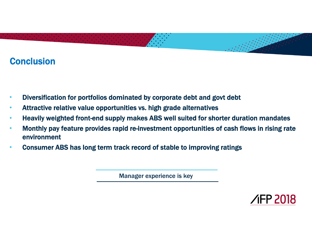## **Conclusion**

- •Diversification for portfolios dominated by corporate debt and govt debt
- •Attractive relative value opportunities vs. high grade alternatives
- •Heavily weighted front-end supply makes ABS well suited for shorter duration mandates
- • Monthly pay feature provides rapid re-investment opportunities of cash flows in rising rate environment
- •Consumer ABS has long term track record of stable to improving ratings

Manager experience is key

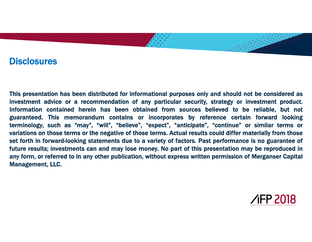#### **Disclosures**

This presentation has been distributed for informational purposes only and should not be considered as investment advice or <sup>a</sup> recommendation of any particular security, strategy or investment product. Information contained herein has been obtained from sources believed to be reliable, but not guaranteed. This memorandum contains or incorporates by reference certain forward looking terminology, such as "may", "will", "believe", "expect", "anticipate", "continue" or similar terms or variations on those terms or the negative of those terms. Actual results could differ materially from those set forth in forward-looking statements due to <sup>a</sup> variety of factors. Past performance is no guarantee of future results; investments can and may lose money. No part of this presentation may be reproduced in any form, or referred to in any other publication, without express written permission of Merganser Capital Management, LLC.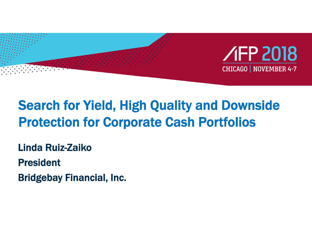

# Search for Yield, High Quality and Downside Protection for Corporate Cash Portfolios

Linda Ruiz-Zaiko

President

Bridgebay Financial, Inc.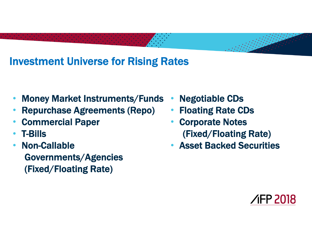# Investment Universe for Rising Rates

- •Money Market Instruments/Funds
- •Repurchase Agreements (Repo)
- •Commercial Paper
- •T-Bills
- • Non-Callable Governments/Agencies (Fixed/Floating Rate)
- •Negotiable CDs
- •Floating Rate CDs
- • Corporate Notes (Fixed/Floating Rate)
- Asset Backed Securities

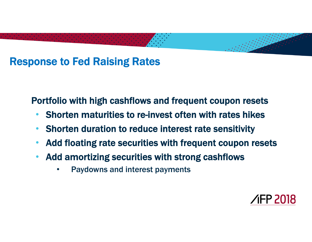# Response to Fed Raising Rates

Portfolio with high cashflows and frequent coupon resets

- •Shorten maturities to re-invest often with rates hikes
- •Shorten duration to reduce interest rate sensitivity
- •Add floating rate securities with frequent coupon resets
- • Add amortizing securities with strong cashflows
	- $\bullet$ Paydowns and interest payments

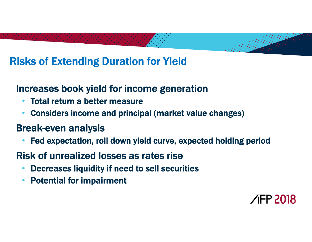# Risks of Extending Duration for Yield

# Increases book yield for income generation

- •Total return a better measure
- •Considers income and principal (market value changes)

# Break-even analysis

•Fed expectation, roll down yield curve, expected holding period

# Risk of unrealized losses as rates rise

- •Decreases liquidity if need to sell securities
- •Potential for impairment

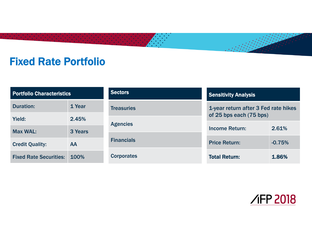# Fixed Rate Portfolio

| <b>Portfolio Characteristics</b>   |           | <b>Sectors</b>    | <b>Sensitivity Analysis</b>          |          |  |
|------------------------------------|-----------|-------------------|--------------------------------------|----------|--|
| <b>Duration:</b>                   | 1 Year    | <b>Treasuries</b> | 1-year return after 3 Fed rate hikes |          |  |
| Yield:                             | 2.45%     |                   | of 25 bps each (75 bps)              |          |  |
| <b>Max WAL:</b>                    | 3 Years   | <b>Agencies</b>   | <b>Income Return:</b>                | 2.61%    |  |
|                                    |           |                   |                                      |          |  |
| <b>Credit Quality:</b>             | <b>AA</b> | <b>Financials</b> | <b>Price Return:</b>                 | $-0.75%$ |  |
| <b>Fixed Rate Securities: 100%</b> |           | <b>Corporates</b> | <b>Total Return:</b>                 | 1.86%    |  |

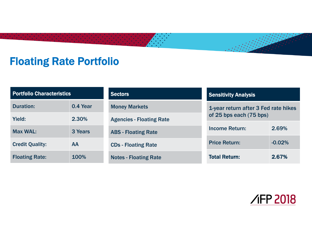# Floating Rate Portfolio

| <b>Portfolio Characteristics</b> |           | Sectors                         | <b>Sensitivity Analysis</b>          |          |  |  |
|----------------------------------|-----------|---------------------------------|--------------------------------------|----------|--|--|
| <b>Duration:</b>                 | 0.4 Year  | <b>Money Markets</b>            | 1-year return after 3 Fed rate hikes |          |  |  |
| Yield:                           | 2.30%     | <b>Agencies - Floating Rate</b> | of 25 bps each (75 bps)              |          |  |  |
| <b>Max WAL:</b>                  | 3 Years   | <b>ABS - Floating Rate</b>      | <b>Income Return:</b>                | 2.69%    |  |  |
| <b>Credit Quality:</b>           | <b>AA</b> | <b>CDs - Floating Rate</b>      | <b>Price Return:</b>                 | $-0.02%$ |  |  |
| <b>Floating Rate:</b>            | 100%      | <b>Notes - Floating Rate</b>    | <b>Total Return:</b>                 | 2.67%    |  |  |

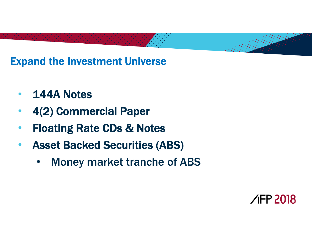# Expand the Investment Universe

- $\bullet$ 144A Notes
- $\bullet$ 4(2) Commercial Paper
- •Floating Rate CDs & Notes
- $\bullet$  Asset Backed Securities (ABS)
	- •Money market tranche of ABS

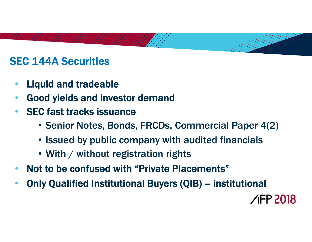# SEC 144A Securities

- •Liquid and tradeable
- •Good yields and investor demand
- • SEC fast tracks issuance
	- Senior Notes, Bonds, FRCDs, Commercial Paper 4(2)
	- Issued by public company with audited financials
	- With / without registration rights
- $\bullet$ Not to be confused with "Private Placements"
- $\bullet$ Only Qualified Institutional Buyers (QIB) – institutional

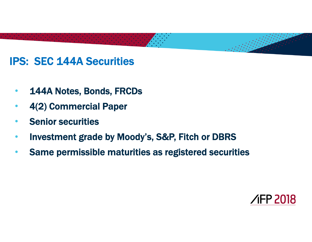# IPS: SEC 144A Securities

- $\bullet$ 144A Notes, Bonds, FRCDs
- •4(2) Commercial Paper
- $\bullet$ Senior securities
- •Investment grade by Moody's, S&P, Fitch or DBRS
- •Same permissible maturities as registered securities

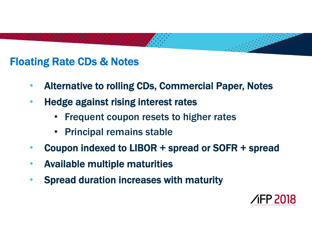# Floating Rate CDs & Notes

- $\bullet$ Alternative to rolling CDs, Commercial Paper, Notes
- $\bullet$  Hedge against rising interest rates
	- Frequent coupon resets to higher rates
	- Principal remains stable
- $\bullet$ Coupon indexed to LIBOR + spread or SOFR + spread
- $\bullet$ Available multiple maturities
- $\bullet$ Spread duration increases with maturity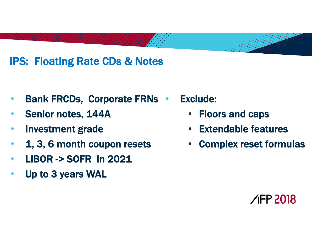# IPS: Floating Rate CDs & Notes

- •• Bank FRCDs, Corporate FRNs •
- •Senior notes, 144A
- •Investment grade
- $\bullet$ 1, 3, 6 month coupon resets
- $\bullet$ LIBOR -> SOFR in 2021
- •Up to 3 years WAL

# Exclude:

- •Floors and caps
- $\bullet$ Extendable features
- Complex reset formulas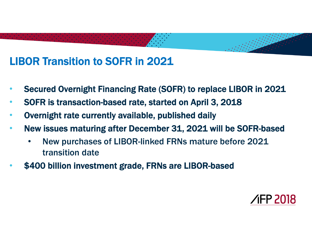# LIBOR Transition to SOFR in 2021

- •Secured Overnight Financing Rate (SOFR) to replace LIBOR in 2021
- •SOFR is transaction-based rate, started on April 3, 2018
- •Overnight rate currently available, published daily
- • New issues maturing after December 31, 2021 will be SOFR-based
	- • New purchases of LIBOR-linked FRNs mature before 2021 transition date
- •\$400 billion investment grade, FRNs are LIBOR-based

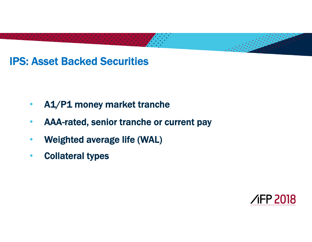# IPS: Asset Backed Securities

- $\bullet$ A1/P1 money market tranche
- $\bullet$ AAA-rated, senior tranche or current pay
- $\bullet$ Weighted average life (WAL)
- $\bullet$ Collateral types

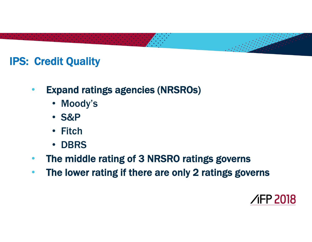# IPS: Credit Quality

#### •Expand ratings agencies (NRSROs)

- Moody's
- S&P
- Fitch
- DBRS
- $\bullet$ The middle rating of 3 NRSRO ratings governs
- $\bullet$ The lower rating if there are only 2 ratings governs

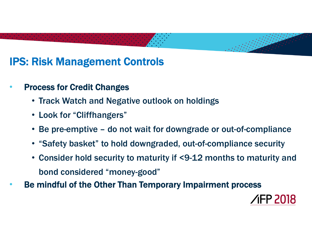# IPS: Risk Management Controls

- $\bullet$  Process for Credit Changes
	- Track Watch and Negative outlook on holdings
	- Look for "Cliffhangers"
	- Be pre-emptive do not wait for downgrade or out-of-compliance
	- "Safety basket" to hold downgraded, out-of-compliance security
	- Consider hold security to maturity if <9-12 months to maturity and bond considered "money-good"
- •Be mindful of the Other Than Temporary Impairment process